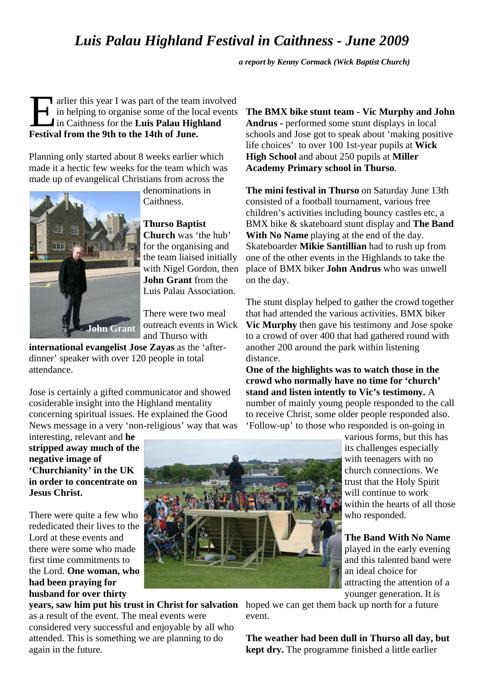## *Luis Palau Highland Festival in Caithness - June 2009*

*a report by Kenny Cormack (Wick Baptist Church)*

arlier this year I was part of the team involved<br>in helping to organise some of the local events<br>in Caithness for the Luis Palau Highland<br>Festival from the 9th to the 14th of Iune in helping to organise some of the local events in Caithness for the **Luis Palau Highland Festival from the 9th to the 14th of June.**

Planning only started about 8 weeks earlier which made it a hectic few weeks for the team which was made up of evangelical Christians from across the



denominations in Caithness.

**Thurso Baptist Church** was 'the hub' for the organising and the team liaised initially with Nigel Gordon, then **John Grant** from the Luis Palau Association.

There were two meal outreach events in Wick and Thurso with

**international evangelist Jose Zayas** as the 'afterdinner' speaker with over 120 people in total attendance.

Jose is certainly a gifted communicator and showed cosiderable insight into the Highland mentality concerning spiritual issues. He explained the Good News message in a very 'non-religious' way that was

interesting, relevant and **he stripped away much of the negative image of 'Churchianity' in the UK in order to concentrate on Jesus Christ.**

There were quite a few who rededicated their lives to the Lord at these events and there were some who made first time commitments to the Lord. **One woman, who had been praying for husband for over thirty** 

**years, saw him put his trust in Christ for salvation** as a result of the event. The meal events were considered very successful and enjoyable by all who attended. This is something we are planning to do again in the future.

**The BMX bike stunt team - Vic Murphy and John Andrus -** performed some stunt displays in local schools and Jose got to speak about 'making positive life choices' to over 100 1st-year pupils at **Wick High School** and about 250 pupils at **Miller Academy Primary school in Thurso**.

**The mini festival in Thurso** on Saturday June 13th consisted of a football tournament, various free children's activities including bouncy castles etc, a BMX bike & skateboard stunt display and **The Band With No Name** playing at the end of the day. Skateboarder **Mikie Santillian** had to rush up from one of the other events in the Highlands to take the place of BMX biker **John Andrus** who was unwell on the day.

The stunt display helped to gather the crowd together that had attended the various activities. BMX biker **Vic Murphy** then gave his testimony and Jose spoke to a crowd of over 400 that had gathered round with another 200 around the park within listening distance.

**One of the highlights was to watch those in the crowd who normally have no time for 'church' stand and listen intently to Vic's testimony.** A number of mainly young people responded to the call to receive Christ, some older people responded also. 'Follow-up' to those who responded is on-going in

> various forms, but this has its challenges especially with teenagers with no church connections. We trust that the Holy Spirit will continue to work within the hearts of all those who responded.

**The Band With No Name** played in the early evening

and this talented band were an ideal choice for attracting the attention of a younger generation. It is

hoped we can get them back up north for a future event.

**The weather had been dull in Thurso all day, but kept dry.** The programme finished a little earlier